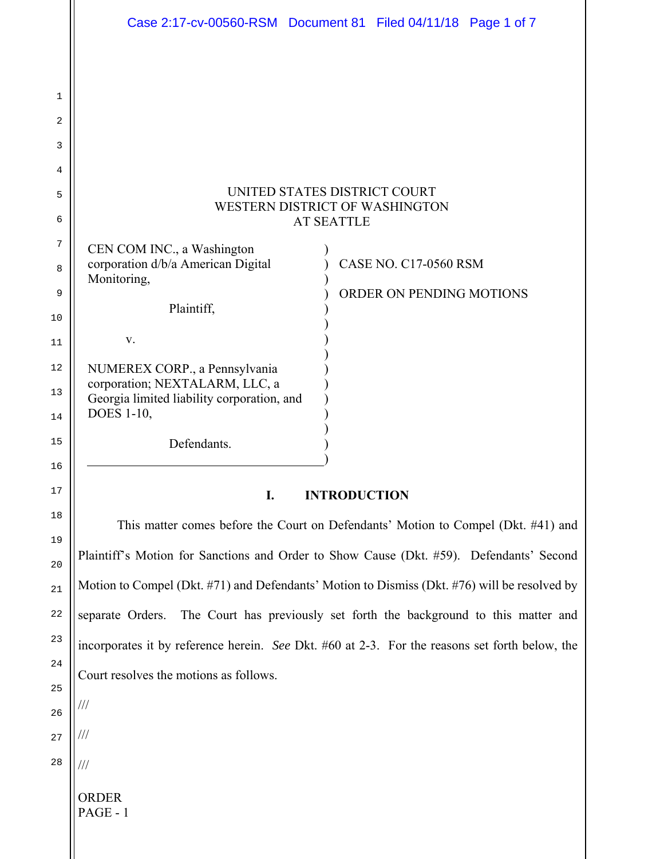|          | Case 2:17-cv-00560-RSM  Document 81  Filed 04/11/18  Page 1 of 7                               |
|----------|------------------------------------------------------------------------------------------------|
|          |                                                                                                |
| 1<br>2   |                                                                                                |
| 3        |                                                                                                |
| 4        |                                                                                                |
| 5        | UNITED STATES DISTRICT COURT<br>WESTERN DISTRICT OF WASHINGTON                                 |
| 6        | <b>AT SEATTLE</b>                                                                              |
| 7        | CEN COM INC., a Washington                                                                     |
| 8        | corporation d/b/a American Digital<br><b>CASE NO. C17-0560 RSM</b><br>Monitoring,              |
| 9<br>10  | ORDER ON PENDING MOTIONS<br>Plaintiff,                                                         |
| 11       | V.                                                                                             |
| 12<br>13 | NUMEREX CORP., a Pennsylvania<br>corporation; NEXTALARM, LLC, a                                |
| 14       | Georgia limited liability corporation, and<br><b>DOES</b> 1-10,                                |
| 15       | Defendants.                                                                                    |
| 16       |                                                                                                |
| 17       | <b>INTRODUCTION</b><br>I.                                                                      |
| 18       | This matter comes before the Court on Defendants' Motion to Compel (Dkt. #41) and              |
| 19<br>20 | Plaintiff's Motion for Sanctions and Order to Show Cause (Dkt. #59). Defendants' Second        |
| 21       | Motion to Compel (Dkt. #71) and Defendants' Motion to Dismiss (Dkt. #76) will be resolved by   |
| 22       | The Court has previously set forth the background to this matter and<br>separate Orders.       |
| 23       | incorporates it by reference herein. See Dkt. #60 at 2-3. For the reasons set forth below, the |
| 24       | Court resolves the motions as follows.                                                         |

///

///

///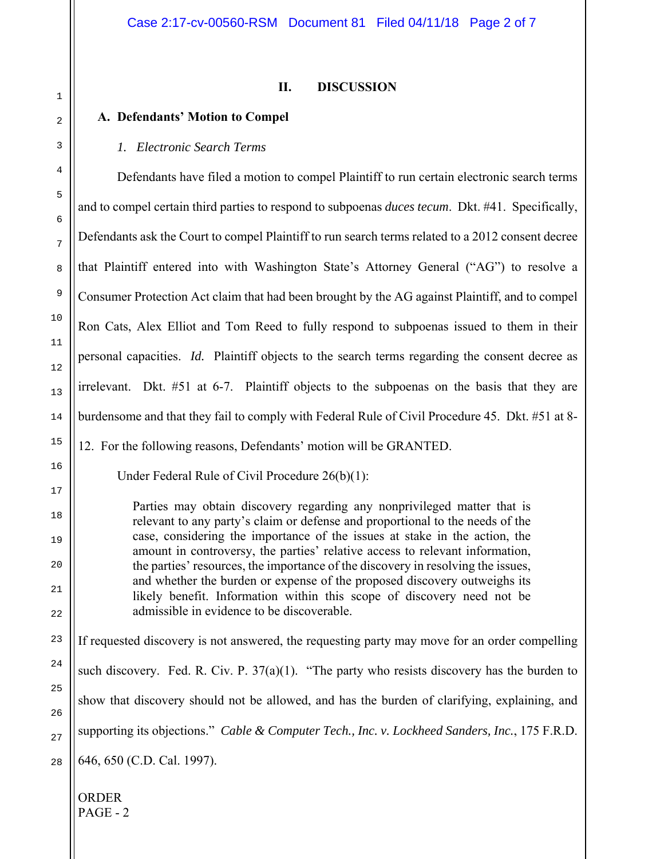# **II. DISCUSSION**

# **A. Defendants' Motion to Compel**

# *1. Electronic Search Terms*

Defendants have filed a motion to compel Plaintiff to run certain electronic search terms and to compel certain third parties to respond to subpoenas *duces tecum*. Dkt. #41. Specifically, Defendants ask the Court to compel Plaintiff to run search terms related to a 2012 consent decree that Plaintiff entered into with Washington State's Attorney General ("AG") to resolve a Consumer Protection Act claim that had been brought by the AG against Plaintiff, and to compel Ron Cats, Alex Elliot and Tom Reed to fully respond to subpoenas issued to them in their personal capacities. *Id.* Plaintiff objects to the search terms regarding the consent decree as irrelevant. Dkt. #51 at 6-7. Plaintiff objects to the subpoenas on the basis that they are burdensome and that they fail to comply with Federal Rule of Civil Procedure 45. Dkt. #51 at 8-

12. For the following reasons, Defendants' motion will be GRANTED.

Under Federal Rule of Civil Procedure 26(b)(1):

Parties may obtain discovery regarding any nonprivileged matter that is relevant to any party's claim or defense and proportional to the needs of the case, considering the importance of the issues at stake in the action, the amount in controversy, the parties' relative access to relevant information, the parties' resources, the importance of the discovery in resolving the issues, and whether the burden or expense of the proposed discovery outweighs its likely benefit. Information within this scope of discovery need not be admissible in evidence to be discoverable.

If requested discovery is not answered, the requesting party may move for an order compelling such discovery. Fed. R. Civ. P.  $37(a)(1)$ . "The party who resists discovery has the burden to show that discovery should not be allowed, and has the burden of clarifying, explaining, and supporting its objections." *Cable & Computer Tech., Inc. v. Lockheed Sanders, Inc.*, 175 F.R.D. 646, 650 (C.D. Cal. 1997).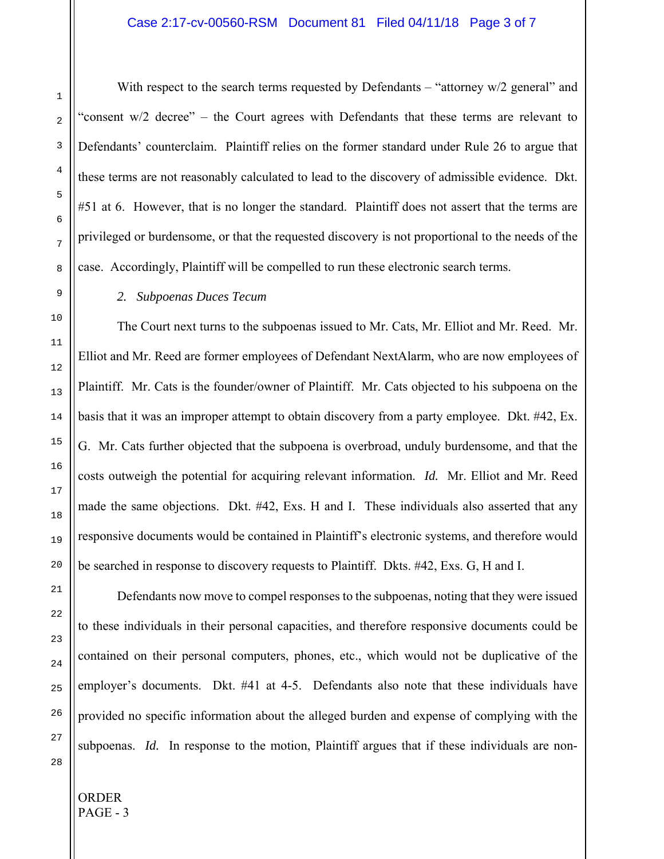## Case 2:17-cv-00560-RSM Document 81 Filed 04/11/18 Page 3 of 7

With respect to the search terms requested by Defendants – "attorney w/2 general" and "consent w/2 decree" – the Court agrees with Defendants that these terms are relevant to Defendants' counterclaim. Plaintiff relies on the former standard under Rule 26 to argue that these terms are not reasonably calculated to lead to the discovery of admissible evidence. Dkt. #51 at 6. However, that is no longer the standard. Plaintiff does not assert that the terms are privileged or burdensome, or that the requested discovery is not proportional to the needs of the case. Accordingly, Plaintiff will be compelled to run these electronic search terms.

#### *2. Subpoenas Duces Tecum*

 The Court next turns to the subpoenas issued to Mr. Cats, Mr. Elliot and Mr. Reed. Mr. Elliot and Mr. Reed are former employees of Defendant NextAlarm, who are now employees of Plaintiff. Mr. Cats is the founder/owner of Plaintiff. Mr. Cats objected to his subpoena on the basis that it was an improper attempt to obtain discovery from a party employee. Dkt. #42, Ex. G. Mr. Cats further objected that the subpoena is overbroad, unduly burdensome, and that the costs outweigh the potential for acquiring relevant information. *Id.* Mr. Elliot and Mr. Reed made the same objections. Dkt. #42, Exs. H and I. These individuals also asserted that any responsive documents would be contained in Plaintiff's electronic systems, and therefore would be searched in response to discovery requests to Plaintiff. Dkts. #42, Exs. G, H and I.

Defendants now move to compel responses to the subpoenas, noting that they were issued to these individuals in their personal capacities, and therefore responsive documents could be contained on their personal computers, phones, etc., which would not be duplicative of the employer's documents. Dkt. #41 at 4-5. Defendants also note that these individuals have provided no specific information about the alleged burden and expense of complying with the subpoenas. *Id.* In response to the motion, Plaintiff argues that if these individuals are non-

1

2

3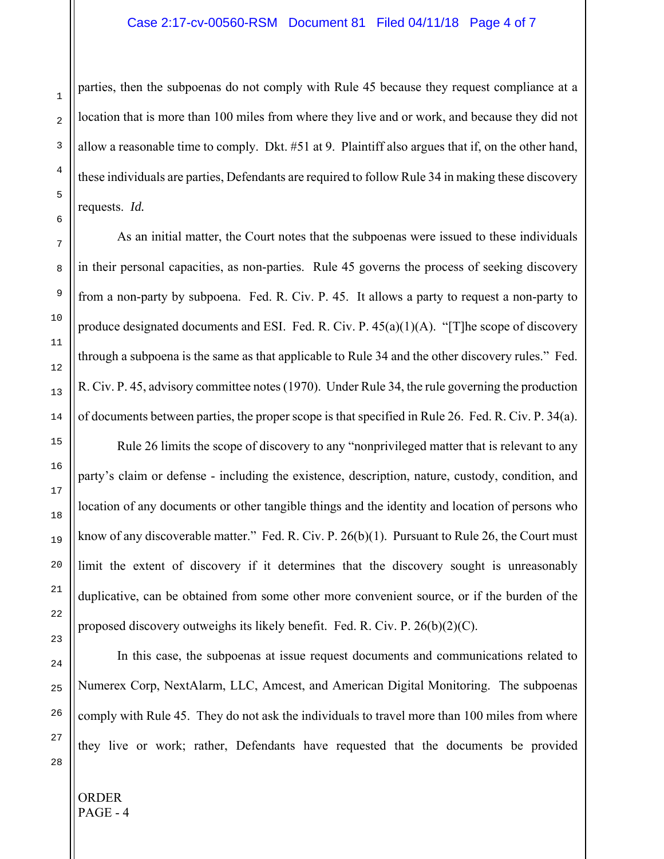## Case 2:17-cv-00560-RSM Document 81 Filed 04/11/18 Page 4 of 7

parties, then the subpoenas do not comply with Rule 45 because they request compliance at a location that is more than 100 miles from where they live and or work, and because they did not allow a reasonable time to comply. Dkt. #51 at 9. Plaintiff also argues that if, on the other hand, these individuals are parties, Defendants are required to follow Rule 34 in making these discovery requests. *Id.*

As an initial matter, the Court notes that the subpoenas were issued to these individuals in their personal capacities, as non-parties. Rule 45 governs the process of seeking discovery from a non-party by subpoena. Fed. R. Civ. P. 45. It allows a party to request a non-party to produce designated documents and ESI. Fed. R. Civ. P.  $45(a)(1)(A)$ . "[T]he scope of discovery through a subpoena is the same as that applicable to Rule 34 and the other discovery rules." Fed. R. Civ. P. 45, advisory committee notes (1970). Under Rule 34, the rule governing the production of documents between parties, the proper scope is that specified in Rule 26. Fed. R. Civ. P. 34(a).

Rule 26 limits the scope of discovery to any "nonprivileged matter that is relevant to any party's claim or defense - including the existence, description, nature, custody, condition, and location of any documents or other tangible things and the identity and location of persons who know of any discoverable matter." Fed. R. Civ. P. 26(b)(1). Pursuant to Rule 26, the Court must limit the extent of discovery if it determines that the discovery sought is unreasonably duplicative, can be obtained from some other more convenient source, or if the burden of the proposed discovery outweighs its likely benefit. Fed. R. Civ. P. 26(b)(2)(C).

In this case, the subpoenas at issue request documents and communications related to Numerex Corp, NextAlarm, LLC, Amcest, and American Digital Monitoring. The subpoenas comply with Rule 45. They do not ask the individuals to travel more than 100 miles from where they live or work; rather, Defendants have requested that the documents be provided

1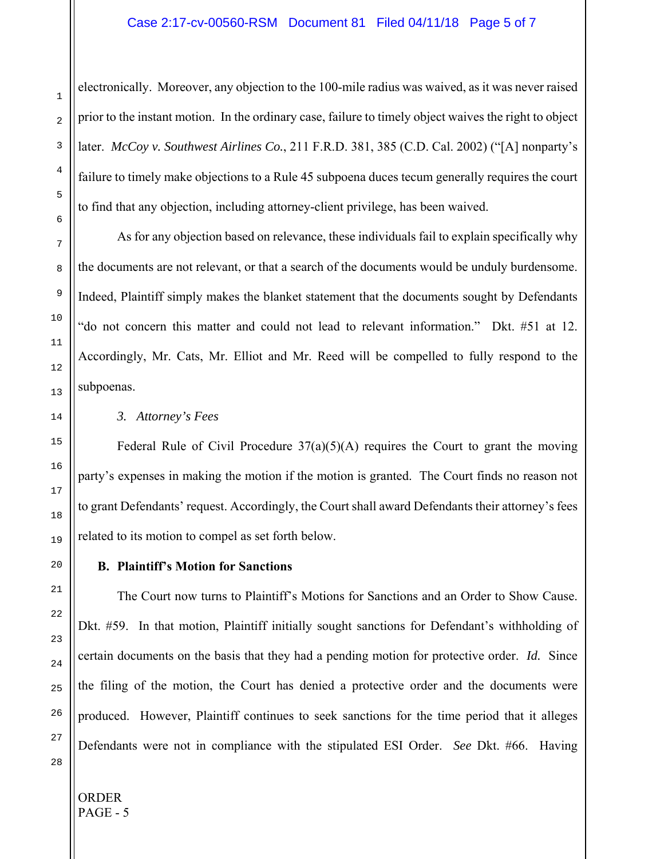## Case 2:17-cv-00560-RSM Document 81 Filed 04/11/18 Page 5 of 7

electronically. Moreover, any objection to the 100-mile radius was waived, as it was never raised prior to the instant motion. In the ordinary case, failure to timely object waives the right to object later. *McCoy v. Southwest Airlines Co.*, 211 F.R.D. 381, 385 (C.D. Cal. 2002) ("[A] nonparty's failure to timely make objections to a Rule 45 subpoena duces tecum generally requires the court to find that any objection, including attorney-client privilege, has been waived.

As for any objection based on relevance, these individuals fail to explain specifically why the documents are not relevant, or that a search of the documents would be unduly burdensome. Indeed, Plaintiff simply makes the blanket statement that the documents sought by Defendants "do not concern this matter and could not lead to relevant information." Dkt. #51 at 12. Accordingly, Mr. Cats, Mr. Elliot and Mr. Reed will be compelled to fully respond to the subpoenas.

# *3. Attorney's Fees*

Federal Rule of Civil Procedure  $37(a)(5)(A)$  requires the Court to grant the moving party's expenses in making the motion if the motion is granted. The Court finds no reason not to grant Defendants' request. Accordingly, the Court shall award Defendants their attorney's fees related to its motion to compel as set forth below.

### **B. Plaintiff's Motion for Sanctions**

The Court now turns to Plaintiff's Motions for Sanctions and an Order to Show Cause. Dkt. #59. In that motion, Plaintiff initially sought sanctions for Defendant's withholding of certain documents on the basis that they had a pending motion for protective order. *Id.* Since the filing of the motion, the Court has denied a protective order and the documents were produced. However, Plaintiff continues to seek sanctions for the time period that it alleges Defendants were not in compliance with the stipulated ESI Order. *See* Dkt. #66. Having

1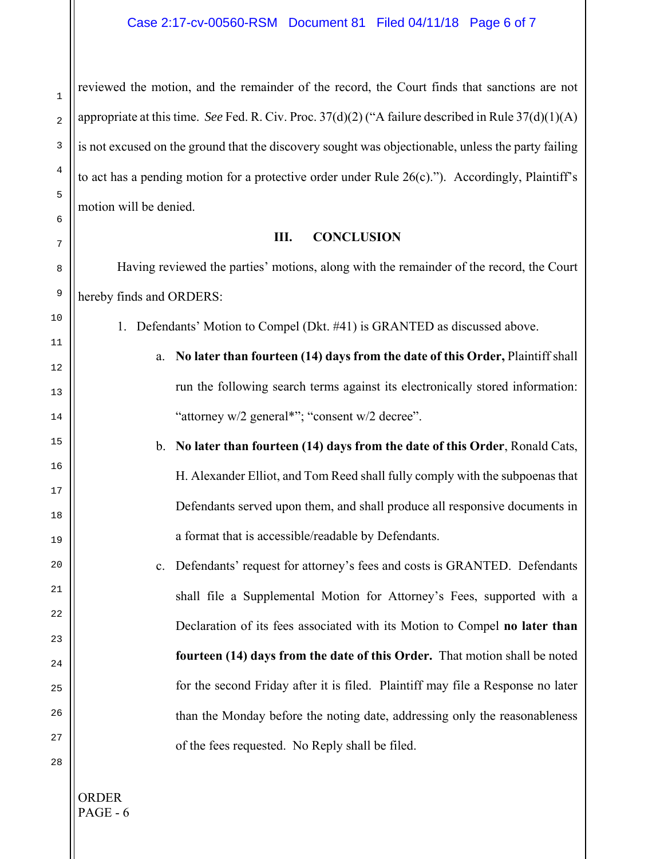reviewed the motion, and the remainder of the record, the Court finds that sanctions are not appropriate at this time. *See* Fed. R. Civ. Proc. 37(d)(2) ("A failure described in Rule 37(d)(1)(A) is not excused on the ground that the discovery sought was objectionable, unless the party failing to act has a pending motion for a protective order under Rule 26(c)."). Accordingly, Plaintiff's motion will be denied.

#### **III. CONCLUSION**

Having reviewed the parties' motions, along with the remainder of the record, the Court hereby finds and ORDERS:

1. Defendants' Motion to Compel (Dkt. #41) is GRANTED as discussed above.

a. **No later than fourteen (14) days from the date of this Order,** Plaintiff shall run the following search terms against its electronically stored information: "attorney w/2 general\*"; "consent w/2 decree".

b. **No later than fourteen (14) days from the date of this Order**, Ronald Cats, H. Alexander Elliot, and Tom Reed shall fully comply with the subpoenas that Defendants served upon them, and shall produce all responsive documents in a format that is accessible/readable by Defendants.

c. Defendants' request for attorney's fees and costs is GRANTED. Defendants shall file a Supplemental Motion for Attorney's Fees, supported with a Declaration of its fees associated with its Motion to Compel **no later than fourteen (14) days from the date of this Order.** That motion shall be noted for the second Friday after it is filed. Plaintiff may file a Response no later than the Monday before the noting date, addressing only the reasonableness of the fees requested. No Reply shall be filed.

28

1

2

3

4

5

6

7

8

9

10

11

12

13

14

15

16

17

18

19

20

21

22

23

24

25

26

27